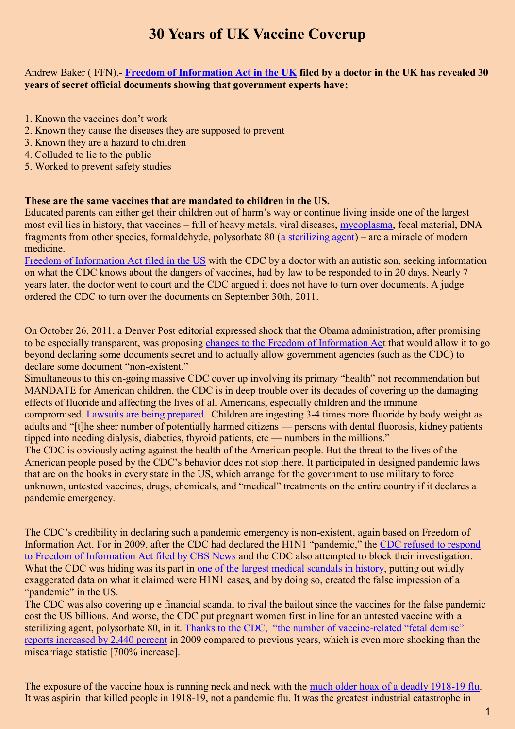## **30 Years of UK Vaccine Coverup**

## Andrew Baker ( FFN),**- [Freedom of Information Act in the UK](http://www.ecomed.org.uk/wp-content/uploads/2011/09/3-tomljenovic.pdf) filed by a doctor in the UK has revealed 30 years of secret official documents showing that government experts have;**

- 1. Known the vaccines don't work
- 2. Known they cause the diseases they are supposed to prevent
- 3. Known they are a hazard to children
- 4. Colluded to lie to the public
- 5. Worked to prevent safety studies

## **These are the same vaccines that are mandated to children in the US.**

Educated parents can either get their children out of harm's way or continue living inside one of the largest most evil lies in history, that vaccines – full of heavy metals, viral diseases, [mycoplasma,](https://www.youtube.com/watch?v=7W4tu5qgaWA) fecal material, DNA fragments from other species, formaldehyde, polysorbate 80 [\(a sterilizing agent\)](http://organichealthadviser.com/archives/polysorbate-80-in-swine-flu-vaccines-infertility-in-humans) – are a miracle of modern medicine.

[Freedom of Information Act filed in the US](http://www.bolenreport.com/Mark%20Geier/foiasuit6.htm) with the CDC by a doctor with an autistic son, seeking information on what the CDC knows about the dangers of vaccines, had by law to be responded to in 20 days. Nearly 7 years later, the doctor went to court and the CDC argued it does not have to turn over documents. A judge ordered the CDC to turn over the documents on September 30th, 2011.

On October 26, 2011, a Denver Post editorial expressed shock that the Obama administration, after promising to be especially transparent, was proposing [changes to the Freedom of Information Act](http://www.denverpost.com/opinion/ci_19192188) that would allow it to go beyond declaring some documents secret and to actually allow government agencies (such as the CDC) to declare some document "non-existent."

Simultaneous to this on-going massive CDC cover up involving its primary "health" not recommendation but MANDATE for American children, the CDC is in deep trouble over its decades of covering up the damaging effects of fluoride and affecting the lives of all Americans, especially children and the immune compromised. [Lawsuits are being](http://www.citizens.org/?p=3041) prepared. Children are ingesting 3-4 times more fluoride by body weight as adults and "[t]he sheer number of potentially harmed citizens — persons with dental fluorosis, kidney patients tipped into needing dialysis, diabetics, thyroid patients, etc — numbers in the millions."

The CDC is obviously acting against the health of the American people. But the threat to the lives of the American people posed by the CDC's behavior does not stop there. It participated in designed pandemic laws that are on the books in every state in the US, which arrange for the government to use military to force unknown, untested vaccines, drugs, chemicals, and "medical" treatments on the entire country if it declares a pandemic emergency.

The CDC's credibility in declaring such a pandemic emergency is non-existent, again based on Freedom of Information Act. For in 2009, after the CDC had declared the H1N1 "pandemic," the [CDC refused to respond](http://articles.mercola.com/sites/articles/archive/2009/11/24/superstar-cbs-reporter-blows-the-lid-off-the-swine-flu-media-hype-and-hysteria.aspx)  [to Freedom of Information Act filed by CBS News](http://articles.mercola.com/sites/articles/archive/2009/11/24/superstar-cbs-reporter-blows-the-lid-off-the-swine-flu-media-hype-and-hysteria.aspx) and the CDC also attempted to block their investigation. What the CDC was hiding was its part in [one of the largest medical scandals in history,](http://articles.mercola.com/sites/articles/archive/2009/10/24/cbs-reveals-that-swine-flu-cases-seriously-overestimated.aspx) putting out wildly exaggerated data on what it claimed were H1N1 cases, and by doing so, created the false impression of a "pandemic" in the US.

The CDC was also covering up e financial scandal to rival the bailout since the vaccines for the false pandemic cost the US billions. And worse, the CDC put pregnant women first in line for an untested vaccine with a sterilizing agent, polysorbate 80, in it. Thanks to the CDC, ["the number of vaccine](http://www.naturalnews.com/030657_vaccines_miscarriages.html)-related "fetal demise" [reports increased by 2,440 percent](http://www.naturalnews.com/030657_vaccines_miscarriages.html) in 2009 compared to previous years, which is even more shocking than the miscarriage statistic [700% increase].

The exposure of the vaccine hoax is running neck and neck with the [much older hoax of a deadly 1918-19 flu.](http://foodfreedom.wordpress.com/2011/07/09/bayer-and-death-1918-and-aspirin/) It was aspirin that killed people in 1918-19, not a pandemic flu. It was the greatest industrial catastrophe in